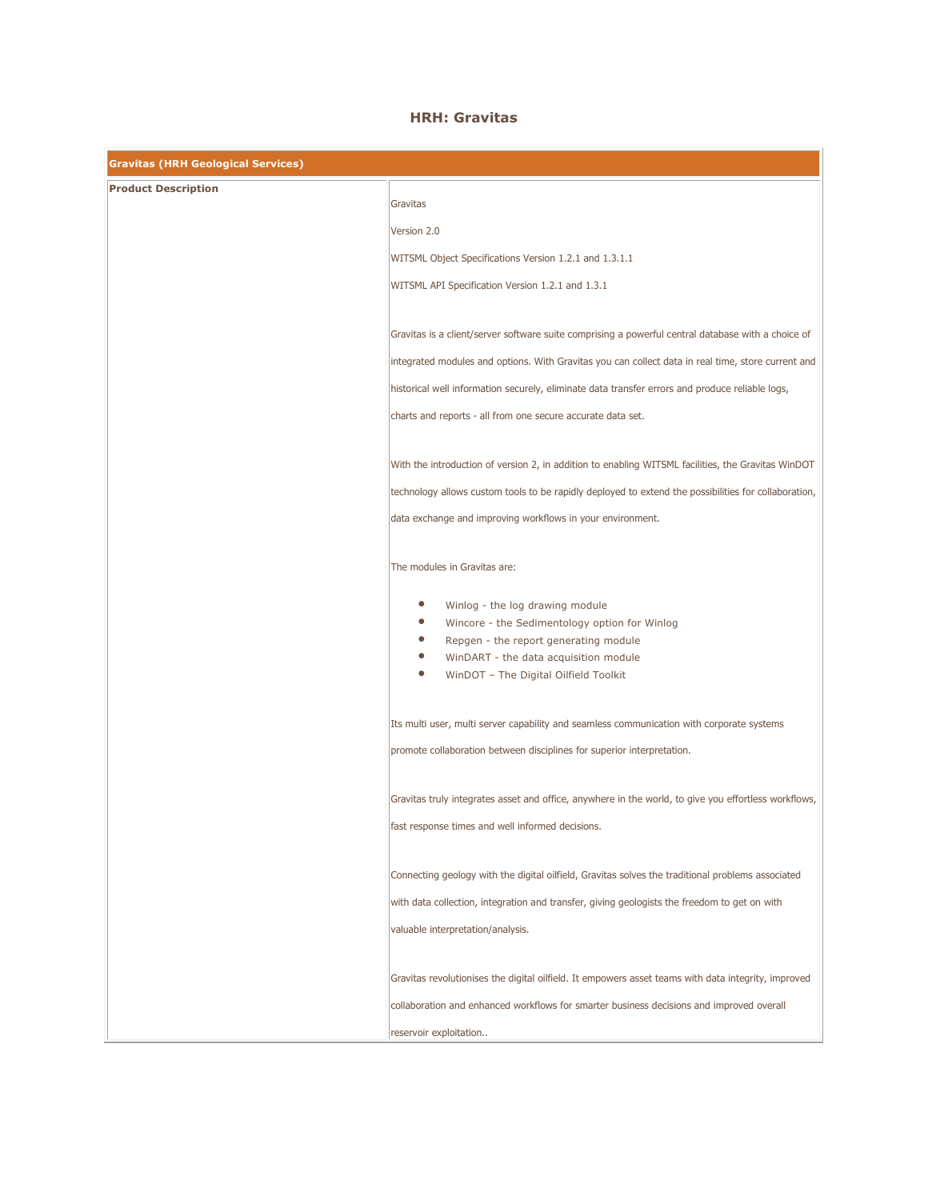## HRH: Gravitas

| <b>Gravitas (HRH Geological Services)</b> |                                                                                                            |
|-------------------------------------------|------------------------------------------------------------------------------------------------------------|
| <b>Product Description</b>                |                                                                                                            |
|                                           | Gravitas                                                                                                   |
|                                           | Version 2.0                                                                                                |
|                                           | WITSML Object Specifications Version 1.2.1 and 1.3.1.1                                                     |
|                                           | WITSML API Specification Version 1.2.1 and 1.3.1                                                           |
|                                           |                                                                                                            |
|                                           | Gravitas is a client/server software suite comprising a powerful central database with a choice of         |
|                                           | integrated modules and options. With Gravitas you can collect data in real time, store current and         |
|                                           | historical well information securely, eliminate data transfer errors and produce reliable logs,            |
|                                           | charts and reports - all from one secure accurate data set.                                                |
|                                           |                                                                                                            |
|                                           | With the introduction of version 2, in addition to enabling WITSML facilities, the Gravitas WinDOT         |
|                                           | technology allows custom tools to be rapidly deployed to extend the possibilities for collaboration,       |
|                                           | data exchange and improving workflows in your environment.                                                 |
|                                           |                                                                                                            |
|                                           | The modules in Gravitas are:                                                                               |
|                                           |                                                                                                            |
|                                           | $\bullet$<br>Winlog - the log drawing module<br>$\bullet$<br>Wincore - the Sedimentology option for Winlog |
|                                           | $\bullet$<br>Repgen - the report generating module                                                         |
|                                           | $\bullet$<br>WinDART - the data acquisition module                                                         |
|                                           | $\bullet$<br>WinDOT - The Digital Oilfield Toolkit                                                         |
|                                           |                                                                                                            |
|                                           | Its multi user, multi server capability and seamless communication with corporate systems                  |
|                                           | promote collaboration between disciplines for superior interpretation.                                     |
|                                           |                                                                                                            |
|                                           | Gravitas truly integrates asset and office, anywhere in the world, to give you effortless workflows,       |
|                                           | fast response times and well informed decisions.                                                           |
|                                           |                                                                                                            |
|                                           | Connecting geology with the digital oilfield, Gravitas solves the traditional problems associated          |
|                                           | with data collection, integration and transfer, giving geologists the freedom to get on with               |
|                                           | valuable interpretation/analysis.                                                                          |
|                                           |                                                                                                            |
|                                           | Gravitas revolutionises the digital oilfield. It empowers asset teams with data integrity, improved        |
|                                           | collaboration and enhanced workflows for smarter business decisions and improved overall                   |
|                                           | reservoir exploitation                                                                                     |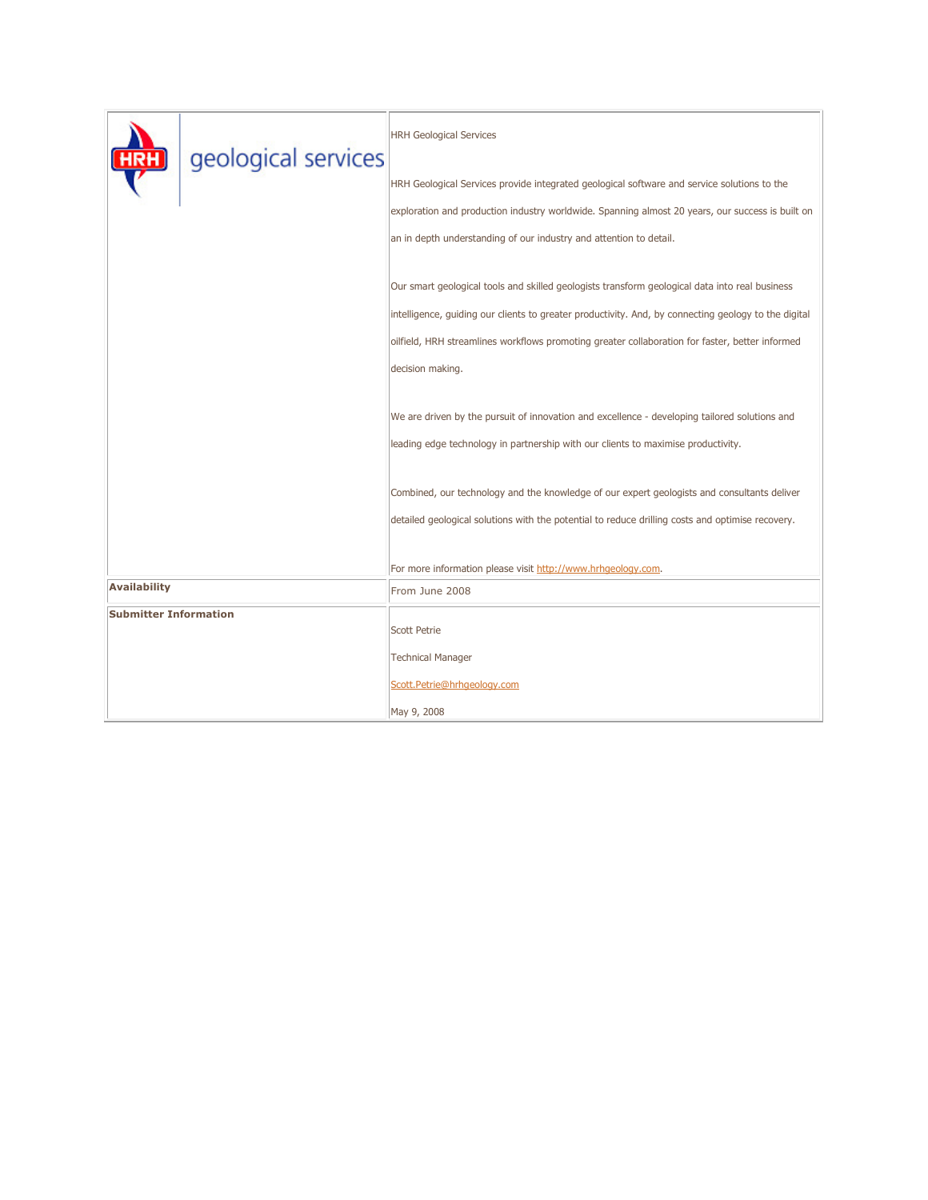|                              | geological services | <b>HRH Geological Services</b>                                                                       |
|------------------------------|---------------------|------------------------------------------------------------------------------------------------------|
|                              |                     | HRH Geological Services provide integrated geological software and service solutions to the          |
|                              |                     | exploration and production industry worldwide. Spanning almost 20 years, our success is built on     |
|                              |                     | an in depth understanding of our industry and attention to detail.                                   |
|                              |                     | Our smart geological tools and skilled geologists transform geological data into real business       |
|                              |                     | intelligence, guiding our clients to greater productivity. And, by connecting geology to the digital |
|                              |                     | oilfield, HRH streamlines workflows promoting greater collaboration for faster, better informed      |
|                              |                     | decision making.                                                                                     |
|                              |                     | We are driven by the pursuit of innovation and excellence - developing tailored solutions and        |
|                              |                     | leading edge technology in partnership with our clients to maximise productivity.                    |
|                              |                     | Combined, our technology and the knowledge of our expert geologists and consultants deliver          |
|                              |                     | detailed geological solutions with the potential to reduce drilling costs and optimise recovery.     |
|                              |                     |                                                                                                      |
| <b>Availability</b>          |                     | For more information please visit http://www.hrhgeology.com.<br>From June 2008                       |
| <b>Submitter Information</b> |                     |                                                                                                      |
|                              |                     | <b>Scott Petrie</b>                                                                                  |
|                              |                     | <b>Technical Manager</b>                                                                             |
|                              |                     | Scott.Petrie@hrhgeology.com                                                                          |
|                              |                     | May 9, 2008                                                                                          |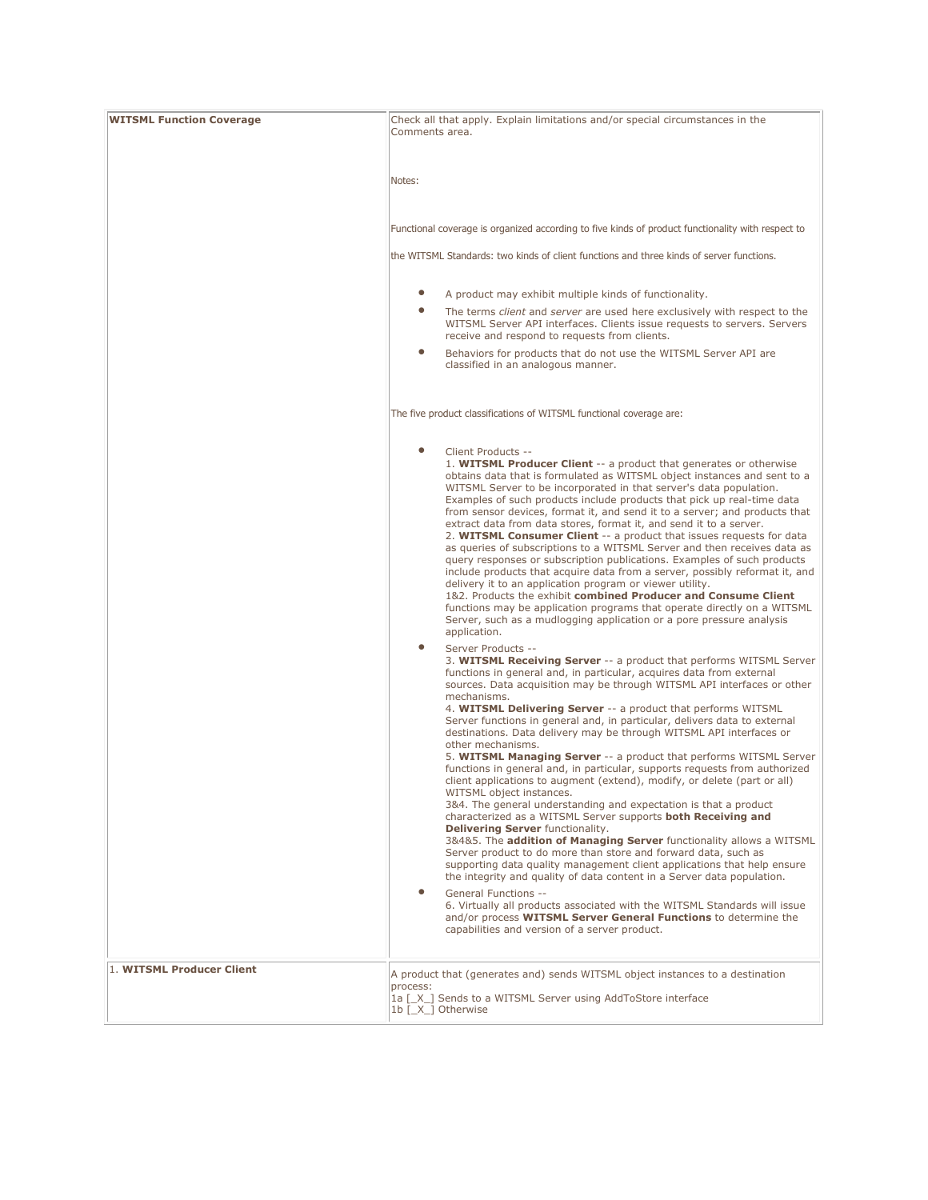| <b>WITSML Function Coverage</b> | Check all that apply. Explain limitations and/or special circumstances in the<br>Comments area.                                                                                                                                                                                                                                                                                                                                                                                                                                                                                                                                                                                                                                                                                                                                                                                                                                                                                                                                                                                                                                                                                                                                                                                                                                                                                                                                                                                                                                                                                                                                                                                                                                                                                                                                                                                                                                                                                                                                                                                                                                                                                                                                                                                                                                                               |
|---------------------------------|---------------------------------------------------------------------------------------------------------------------------------------------------------------------------------------------------------------------------------------------------------------------------------------------------------------------------------------------------------------------------------------------------------------------------------------------------------------------------------------------------------------------------------------------------------------------------------------------------------------------------------------------------------------------------------------------------------------------------------------------------------------------------------------------------------------------------------------------------------------------------------------------------------------------------------------------------------------------------------------------------------------------------------------------------------------------------------------------------------------------------------------------------------------------------------------------------------------------------------------------------------------------------------------------------------------------------------------------------------------------------------------------------------------------------------------------------------------------------------------------------------------------------------------------------------------------------------------------------------------------------------------------------------------------------------------------------------------------------------------------------------------------------------------------------------------------------------------------------------------------------------------------------------------------------------------------------------------------------------------------------------------------------------------------------------------------------------------------------------------------------------------------------------------------------------------------------------------------------------------------------------------------------------------------------------------------------------------------------------------|
|                                 | Notes:                                                                                                                                                                                                                                                                                                                                                                                                                                                                                                                                                                                                                                                                                                                                                                                                                                                                                                                                                                                                                                                                                                                                                                                                                                                                                                                                                                                                                                                                                                                                                                                                                                                                                                                                                                                                                                                                                                                                                                                                                                                                                                                                                                                                                                                                                                                                                        |
|                                 | Functional coverage is organized according to five kinds of product functionality with respect to<br>the WITSML Standards: two kinds of client functions and three kinds of server functions.                                                                                                                                                                                                                                                                                                                                                                                                                                                                                                                                                                                                                                                                                                                                                                                                                                                                                                                                                                                                                                                                                                                                                                                                                                                                                                                                                                                                                                                                                                                                                                                                                                                                                                                                                                                                                                                                                                                                                                                                                                                                                                                                                                 |
|                                 |                                                                                                                                                                                                                                                                                                                                                                                                                                                                                                                                                                                                                                                                                                                                                                                                                                                                                                                                                                                                                                                                                                                                                                                                                                                                                                                                                                                                                                                                                                                                                                                                                                                                                                                                                                                                                                                                                                                                                                                                                                                                                                                                                                                                                                                                                                                                                               |
|                                 | $\bullet$<br>A product may exhibit multiple kinds of functionality.<br>$\bullet$<br>The terms client and server are used here exclusively with respect to the<br>WITSML Server API interfaces. Clients issue requests to servers. Servers                                                                                                                                                                                                                                                                                                                                                                                                                                                                                                                                                                                                                                                                                                                                                                                                                                                                                                                                                                                                                                                                                                                                                                                                                                                                                                                                                                                                                                                                                                                                                                                                                                                                                                                                                                                                                                                                                                                                                                                                                                                                                                                     |
|                                 | receive and respond to requests from clients.<br>$\bullet$<br>Behaviors for products that do not use the WITSML Server API are<br>classified in an analogous manner.                                                                                                                                                                                                                                                                                                                                                                                                                                                                                                                                                                                                                                                                                                                                                                                                                                                                                                                                                                                                                                                                                                                                                                                                                                                                                                                                                                                                                                                                                                                                                                                                                                                                                                                                                                                                                                                                                                                                                                                                                                                                                                                                                                                          |
|                                 | The five product classifications of WITSML functional coverage are:                                                                                                                                                                                                                                                                                                                                                                                                                                                                                                                                                                                                                                                                                                                                                                                                                                                                                                                                                                                                                                                                                                                                                                                                                                                                                                                                                                                                                                                                                                                                                                                                                                                                                                                                                                                                                                                                                                                                                                                                                                                                                                                                                                                                                                                                                           |
|                                 | $\bullet$<br>Client Products --<br>1. WITSML Producer Client -- a product that generates or otherwise<br>obtains data that is formulated as WITSML object instances and sent to a<br>WITSML Server to be incorporated in that server's data population.<br>Examples of such products include products that pick up real-time data<br>from sensor devices, format it, and send it to a server; and products that<br>extract data from data stores, format it, and send it to a server.<br>2. WITSML Consumer Client -- a product that issues requests for data<br>as queries of subscriptions to a WITSML Server and then receives data as<br>query responses or subscription publications. Examples of such products<br>include products that acquire data from a server, possibly reformat it, and<br>delivery it to an application program or viewer utility.<br>1&2. Products the exhibit combined Producer and Consume Client<br>functions may be application programs that operate directly on a WITSML<br>Server, such as a mudlogging application or a pore pressure analysis<br>application.<br>$\bullet$<br>Server Products --<br>3. WITSML Receiving Server -- a product that performs WITSML Server<br>functions in general and, in particular, acquires data from external<br>sources. Data acquisition may be through WITSML API interfaces or other<br>mechanisms.<br>4. WITSML Delivering Server -- a product that performs WITSML<br>Server functions in general and, in particular, delivers data to external<br>destinations. Data delivery may be through WITSML API interfaces or<br>other mechanisms.<br>5. WITSML Managing Server -- a product that performs WITSML Server<br>functions in general and, in particular, supports requests from authorized<br>client applications to augment (extend), modify, or delete (part or all)<br>WITSML object instances.<br>3&4. The general understanding and expectation is that a product<br>characterized as a WITSML Server supports both Receiving and<br>Delivering Server functionality.<br>3&4&5. The addition of Managing Server functionality allows a WITSML<br>Server product to do more than store and forward data, such as<br>supporting data quality management client applications that help ensure<br>the integrity and quality of data content in a Server data population. |
|                                 | 6. Virtually all products associated with the WITSML Standards will issue<br>and/or process WITSML Server General Functions to determine the<br>capabilities and version of a server product.                                                                                                                                                                                                                                                                                                                                                                                                                                                                                                                                                                                                                                                                                                                                                                                                                                                                                                                                                                                                                                                                                                                                                                                                                                                                                                                                                                                                                                                                                                                                                                                                                                                                                                                                                                                                                                                                                                                                                                                                                                                                                                                                                                 |
| 1. WITSML Producer Client       | A product that (generates and) sends WITSML object instances to a destination<br>process:<br>1a [X ] Sends to a WITSML Server using AddToStore interface<br>1b [X ] Otherwise                                                                                                                                                                                                                                                                                                                                                                                                                                                                                                                                                                                                                                                                                                                                                                                                                                                                                                                                                                                                                                                                                                                                                                                                                                                                                                                                                                                                                                                                                                                                                                                                                                                                                                                                                                                                                                                                                                                                                                                                                                                                                                                                                                                 |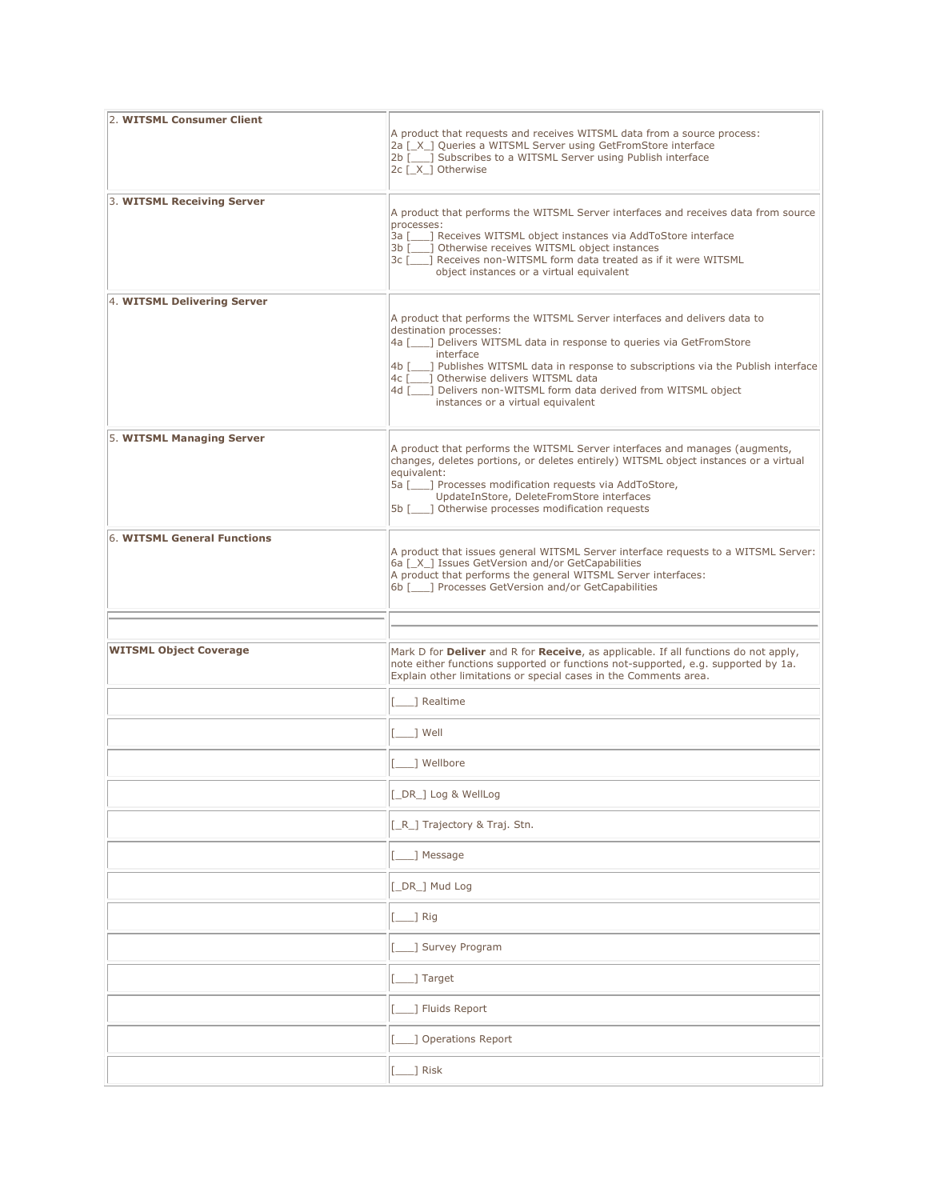| 2. WITSML Consumer Client     | A product that requests and receives WITSML data from a source process:<br>2a [ X ] Queries a WITSML Server using GetFromStore interface<br>2b [10] Subscribes to a WITSML Server using Publish interface<br>2c [X ] Otherwise                                                                                                                                                                                                        |
|-------------------------------|---------------------------------------------------------------------------------------------------------------------------------------------------------------------------------------------------------------------------------------------------------------------------------------------------------------------------------------------------------------------------------------------------------------------------------------|
| 3. WITSML Receiving Server    | A product that performs the WITSML Server interfaces and receives data from source<br>processes:<br>3a [166] Receives WITSML object instances via AddToStore interface<br>3b [ ] Otherwise receives WITSML object instances<br>3c [100] Receives non-WITSML form data treated as if it were WITSML<br>object instances or a virtual equivalent                                                                                        |
| 4. WITSML Delivering Server   | A product that performs the WITSML Server interfaces and delivers data to<br>destination processes:<br>4a [100] Delivers WITSML data in response to queries via GetFromStore<br>interface<br>4b [___] Publishes WITSML data in response to subscriptions via the Publish interface<br>4c [ ] Otherwise delivers WITSML data<br>4d [100] Delivers non-WITSML form data derived from WITSML object<br>instances or a virtual equivalent |
| 5. WITSML Managing Server     | A product that performs the WITSML Server interfaces and manages (augments,<br>changes, deletes portions, or deletes entirely) WITSML object instances or a virtual<br>equivalent:<br>5a [10,1] Processes modification requests via AddToStore,<br>UpdateInStore, DeleteFromStore interfaces<br>5b [ ] Otherwise processes modification requests                                                                                      |
| 6. WITSML General Functions   | A product that issues general WITSML Server interface requests to a WITSML Server:<br>6a [ X ] Issues GetVersion and/or GetCapabilities<br>A product that performs the general WITSML Server interfaces:<br>6b [     Processes GetVersion and/or GetCapabilities                                                                                                                                                                      |
|                               |                                                                                                                                                                                                                                                                                                                                                                                                                                       |
| <b>WITSML Object Coverage</b> | Mark D for Deliver and R for Receive, as applicable. If all functions do not apply,<br>note either functions supported or functions not-supported, e.g. supported by 1a.<br>Explain other limitations or special cases in the Comments area.                                                                                                                                                                                          |
|                               | 1 Realtime                                                                                                                                                                                                                                                                                                                                                                                                                            |
|                               | 1 Well                                                                                                                                                                                                                                                                                                                                                                                                                                |
|                               | 1 Wellbore                                                                                                                                                                                                                                                                                                                                                                                                                            |
|                               | [_DR_] Log & WellLog                                                                                                                                                                                                                                                                                                                                                                                                                  |
|                               | [_R_] Trajectory & Traj. Stn.                                                                                                                                                                                                                                                                                                                                                                                                         |
|                               | _] Message                                                                                                                                                                                                                                                                                                                                                                                                                            |
|                               | [_DR_] Mud Log                                                                                                                                                                                                                                                                                                                                                                                                                        |
|                               | $\Box$ ] Rig                                                                                                                                                                                                                                                                                                                                                                                                                          |
|                               | ] Survey Program                                                                                                                                                                                                                                                                                                                                                                                                                      |
|                               | _] Target                                                                                                                                                                                                                                                                                                                                                                                                                             |
|                               | ] Fluids Report                                                                                                                                                                                                                                                                                                                                                                                                                       |
|                               | ] Operations Report                                                                                                                                                                                                                                                                                                                                                                                                                   |
|                               | $\Box$ Risk                                                                                                                                                                                                                                                                                                                                                                                                                           |